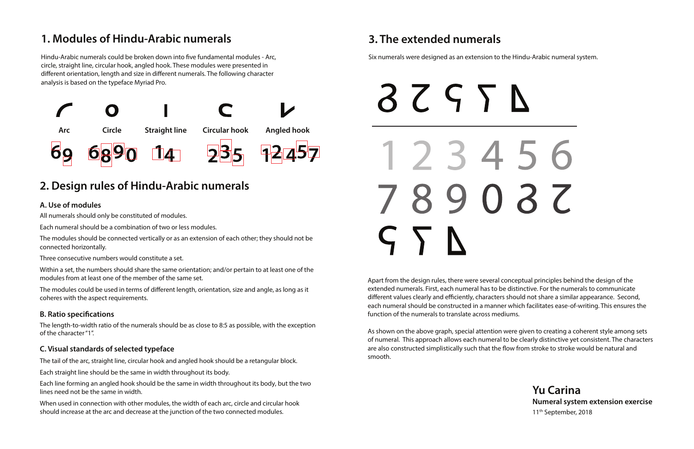# 1. Modules of Hindu-Arabic numerals

Hindu-Arabic numerals could be broken down into five fundamental modules - Arc, circle, straight line, circular hook, angled hook. These modules were presented in different orientation, length and size in different numerals. The following character analysis is based on the typeface Myriad Pro.



# 2. Design rules of Hindu-Arabic numerals

### A. Use of modules

Six numerals were designed as an extension to the Hindu-Arabic numeral system.

# 3 Z S S D

The modules could be used in terms of different length, orientation, size and angle, as long as it coheres with the aspect requirements.

### **B. Ratio specifications**

All numerals should only be constituted of modules.

Each numeral should be a combination of two or less modules.

The modules should be connected vertically or as an extension of each other; they should not be connected horizontally.

Three consecutive numbers would constitute a set.

Within a set, the numbers should share the same orientation; and/or pertain to at least one of the modules from at least one of the member of the same set.

The length-to-width ratio of the numerals should be as close to 8:5 as possible, with the exception of the character "1".

### C. Visual standards of selected typeface

The tail of the arc, straight line, circular hook and angled hook should be a retangular block.

Each straight line should be the same in width throughout its body.

Each line forming an angled hook should be the same in width throughout its body, but the two lines need not be the same in width.

When used in connection with other modules, the width of each arc, circle and circular hook should increase at the arc and decrease at the junction of the two connected modules.

# 3. The extended numerals

Apart from the design rules, there were several conceptual principles behind the design of the extended numerals. First, each numeral has to be distinctive. For the numerals to communicate different values clearly and efficiently, characters should not share a similar appearance. Second, each numeral should be constructed in a manner which facilitates ease-of-writing. This ensures the function of the numerals to translate across mediums.

As shown on the above graph, special attention were given to creating a coherent style among sets of numeral. This approach allows each numeral to be clearly distinctive yet consistent. The characters are also constructed simplistically such that the flow from stroke to stroke would be natural and smooth.



**Yu Carina Numeral system extension exercise** 11<sup>th</sup> September, 2018